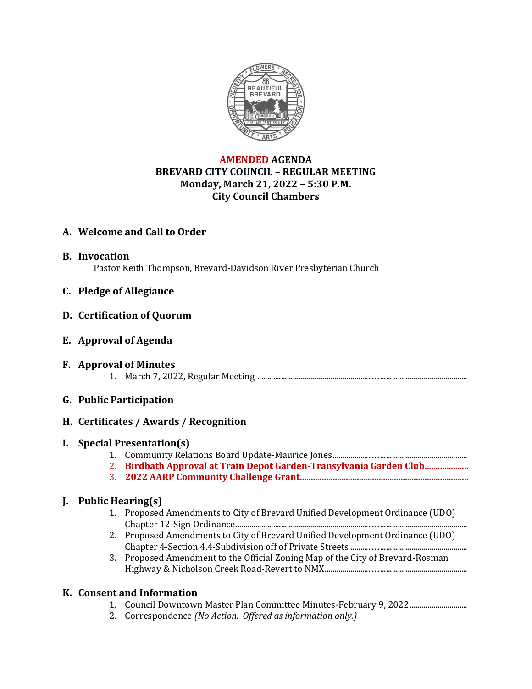

# **AMENDED AGENDA BREVARD CITY COUNCIL – REGULAR MEETING Monday, March 21, 2022 – 5:30 P.M. City Council Chambers**

# **A. Welcome and Call to Order**

- **B. Invocation** Pastor Keith Thompson, Brevard-Davidson River Presbyterian Church
- **C. Pledge of Allegiance**

### **D. Certification of Quorum**

- **E. Approval of Agenda**
- **F. Approval of Minutes** 1. March 7, 2022, Regular Meeting ..........................................................................................................

### **G. Public Participation**

### **H. Certificates / Awards / Recognition**

### **I. Special Presentation(s)**

- 1. Community Relations Board Update-Maurice Jones....................................................................
- 2. **Birdbath Approval at Train Depot Garden-Transylvania Garden Club....................**
- 3. **2022 AARP Community Challenge Grant.............................................................................**

### **J. Public Hearing(s)**

- 1. Proposed Amendments to City of Brevard Unified Development Ordinance (UDO) Chapter 12-Sign Ordinance.....................................................................................................................
- 2. Proposed Amendments to City of Brevard Unified Development Ordinance (UDO) Chapter 4-Section 4.4-Subdivision off of Private Streets ...........................................................
- 3. Proposed Amendment to the Official Zoning Map of the City of Brevard-Rosman Highway & Nicholson Creek Road-Revert to NMX........................................................................

### **K. Consent and Information**

- 1. Council Downtown Master Plan Committee Minutes-February 9, 2022.............................
- 2. Correspondence *(No Action. Offered as information only.)*